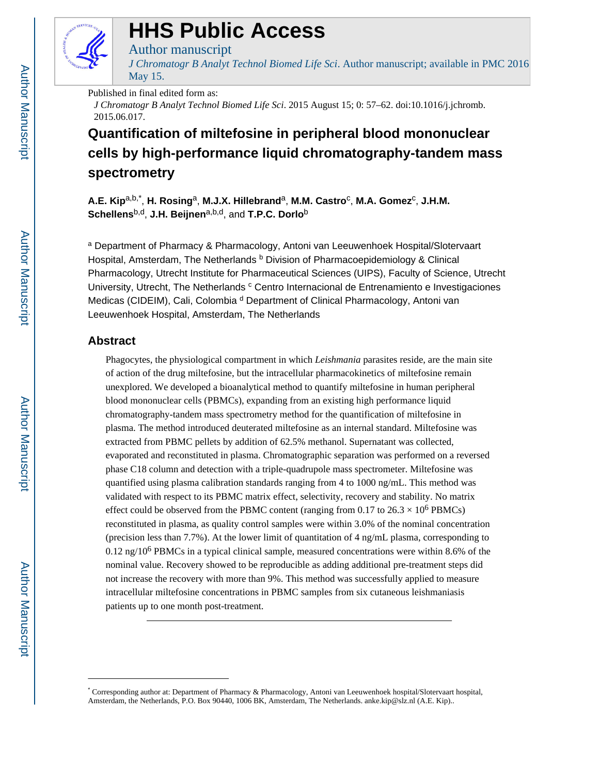

# **HHS Public Access**

# Author manuscript

*J Chromatogr B Analyt Technol Biomed Life Sci*. Author manuscript; available in PMC 2016 May 15.

# Published in final edited form as:

*J Chromatogr B Analyt Technol Biomed Life Sci*. 2015 August 15; 0: 57–62. doi:10.1016/j.jchromb. 2015.06.017.

# **Quantification of miltefosine in peripheral blood mononuclear cells by high-performance liquid chromatography-tandem mass spectrometry**

**A.E. Kip**a,b,\* , **H. Rosing**a, **M.J.X. Hillebrand**a, **M.M. Castro**<sup>c</sup> , **M.A. Gomez**<sup>c</sup> , **J.H.M. Schellens**b,d, **J.H. Beijnen**a,b,d, and **T.P.C. Dorlo**<sup>b</sup>

<sup>a</sup> Department of Pharmacy & Pharmacology, Antoni van Leeuwenhoek Hospital/Slotervaart Hospital, Amsterdam, The Netherlands **b** Division of Pharmacoepidemiology & Clinical Pharmacology, Utrecht Institute for Pharmaceutical Sciences (UIPS), Faculty of Science, Utrecht University, Utrecht, The Netherlands <sup>c</sup> Centro Internacional de Entrenamiento e Investigaciones Medicas (CIDEIM), Cali, Colombia<sup>d</sup> Department of Clinical Pharmacology, Antoni van Leeuwenhoek Hospital, Amsterdam, The Netherlands

# **Abstract**

Phagocytes, the physiological compartment in which *Leishmania* parasites reside, are the main site of action of the drug miltefosine, but the intracellular pharmacokinetics of miltefosine remain unexplored. We developed a bioanalytical method to quantify miltefosine in human peripheral blood mononuclear cells (PBMCs), expanding from an existing high performance liquid chromatography-tandem mass spectrometry method for the quantification of miltefosine in plasma. The method introduced deuterated miltefosine as an internal standard. Miltefosine was extracted from PBMC pellets by addition of 62.5% methanol. Supernatant was collected, evaporated and reconstituted in plasma. Chromatographic separation was performed on a reversed phase C18 column and detection with a triple-quadrupole mass spectrometer. Miltefosine was quantified using plasma calibration standards ranging from 4 to 1000 ng/mL. This method was validated with respect to its PBMC matrix effect, selectivity, recovery and stability. No matrix effect could be observed from the PBMC content (ranging from 0.17 to  $26.3 \times 10^6$  PBMCs) reconstituted in plasma, as quality control samples were within 3.0% of the nominal concentration (precision less than 7.7%). At the lower limit of quantitation of 4 ng/mL plasma, corresponding to 0.12 ng/10<sup>6</sup> PBMCs in a typical clinical sample, measured concentrations were within 8.6% of the nominal value. Recovery showed to be reproducible as adding additional pre-treatment steps did not increase the recovery with more than 9%. This method was successfully applied to measure intracellular miltefosine concentrations in PBMC samples from six cutaneous leishmaniasis patients up to one month post-treatment.

<sup>\*</sup> Corresponding author at: Department of Pharmacy & Pharmacology, Antoni van Leeuwenhoek hospital/Slotervaart hospital, Amsterdam, the Netherlands, P.O. Box 90440, 1006 BK, Amsterdam, The Netherlands. anke.kip@slz.nl (A.E. Kip)..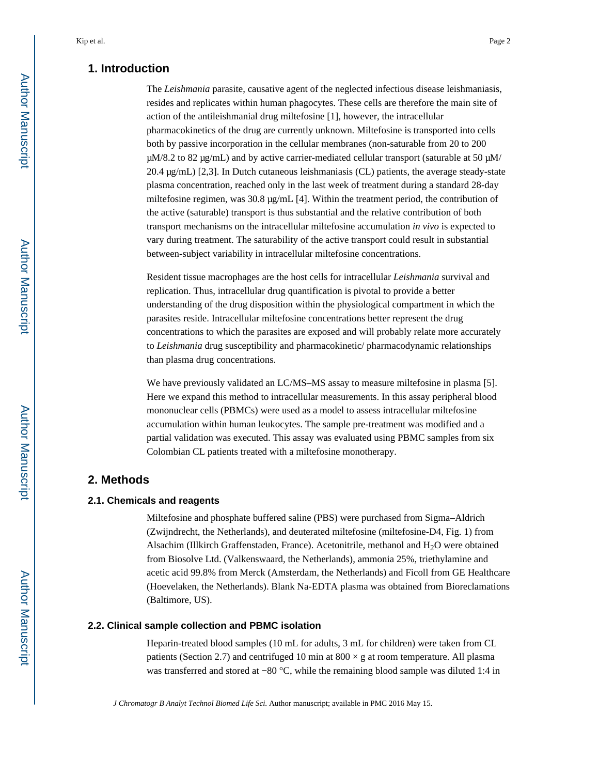# **1. Introduction**

The *Leishmania* parasite, causative agent of the neglected infectious disease leishmaniasis, resides and replicates within human phagocytes. These cells are therefore the main site of action of the antileishmanial drug miltefosine [1], however, the intracellular pharmacokinetics of the drug are currently unknown. Miltefosine is transported into cells both by passive incorporation in the cellular membranes (non-saturable from 20 to 200  $\mu$ M/8.2 to 82  $\mu$ g/mL) and by active carrier-mediated cellular transport (saturable at 50  $\mu$ M/ 20.4 μg/mL) [2,3]. In Dutch cutaneous leishmaniasis (CL) patients, the average steady-state plasma concentration, reached only in the last week of treatment during a standard 28-day miltefosine regimen, was 30.8 μg/mL [4]. Within the treatment period, the contribution of the active (saturable) transport is thus substantial and the relative contribution of both transport mechanisms on the intracellular miltefosine accumulation *in vivo* is expected to vary during treatment. The saturability of the active transport could result in substantial between-subject variability in intracellular miltefosine concentrations.

Resident tissue macrophages are the host cells for intracellular *Leishmania* survival and replication. Thus, intracellular drug quantification is pivotal to provide a better understanding of the drug disposition within the physiological compartment in which the parasites reside. Intracellular miltefosine concentrations better represent the drug concentrations to which the parasites are exposed and will probably relate more accurately to *Leishmania* drug susceptibility and pharmacokinetic/ pharmacodynamic relationships than plasma drug concentrations.

We have previously validated an LC/MS–MS assay to measure miltefosine in plasma [5]. Here we expand this method to intracellular measurements. In this assay peripheral blood mononuclear cells (PBMCs) were used as a model to assess intracellular miltefosine accumulation within human leukocytes. The sample pre-treatment was modified and a partial validation was executed. This assay was evaluated using PBMC samples from six Colombian CL patients treated with a miltefosine monotherapy.

# **2. Methods**

#### **2.1. Chemicals and reagents**

Miltefosine and phosphate buffered saline (PBS) were purchased from Sigma–Aldrich (Zwijndrecht, the Netherlands), and deuterated miltefosine (miltefosine-D4, Fig. 1) from Alsachim (Illkirch Graffenstaden, France). Acetonitrile, methanol and  $H_2O$  were obtained from Biosolve Ltd. (Valkenswaard, the Netherlands), ammonia 25%, triethylamine and acetic acid 99.8% from Merck (Amsterdam, the Netherlands) and Ficoll from GE Healthcare (Hoevelaken, the Netherlands). Blank Na-EDTA plasma was obtained from Bioreclamations (Baltimore, US).

# **2.2. Clinical sample collection and PBMC isolation**

Heparin-treated blood samples (10 mL for adults, 3 mL for children) were taken from CL patients (Section 2.7) and centrifuged 10 min at  $800 \times g$  at room temperature. All plasma was transferred and stored at −80 °C, while the remaining blood sample was diluted 1:4 in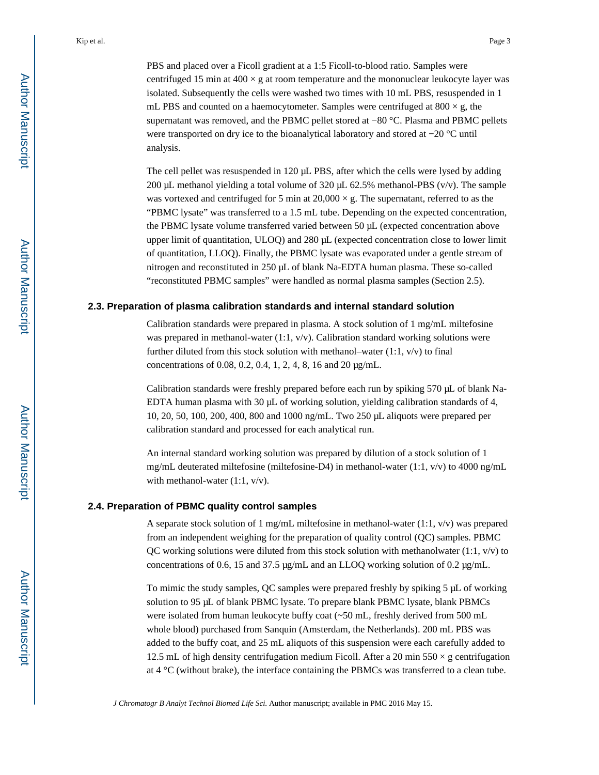PBS and placed over a Ficoll gradient at a 1:5 Ficoll-to-blood ratio. Samples were centrifuged 15 min at  $400 \times g$  at room temperature and the mononuclear leukocyte layer was isolated. Subsequently the cells were washed two times with 10 mL PBS, resuspended in 1 mL PBS and counted on a haemocytometer. Samples were centrifuged at  $800 \times g$ , the supernatant was removed, and the PBMC pellet stored at −80 °C. Plasma and PBMC pellets were transported on dry ice to the bioanalytical laboratory and stored at −20 °C until analysis.

The cell pellet was resuspended in 120 μL PBS, after which the cells were lysed by adding 200 μL methanol yielding a total volume of 320 μL 62.5% methanol-PBS ( $v/v$ ). The sample was vortexed and centrifuged for 5 min at  $20,000 \times g$ . The supernatant, referred to as the "PBMC lysate" was transferred to a 1.5 mL tube. Depending on the expected concentration, the PBMC lysate volume transferred varied between 50 μL (expected concentration above upper limit of quantitation, ULOQ) and 280 μL (expected concentration close to lower limit of quantitation, LLOQ). Finally, the PBMC lysate was evaporated under a gentle stream of nitrogen and reconstituted in 250 μL of blank Na-EDTA human plasma. These so-called "reconstituted PBMC samples" were handled as normal plasma samples (Section 2.5).

### **2.3. Preparation of plasma calibration standards and internal standard solution**

Calibration standards were prepared in plasma. A stock solution of 1 mg/mL miltefosine was prepared in methanol-water  $(1:1, v/v)$ . Calibration standard working solutions were further diluted from this stock solution with methanol–water  $(1:1, v/v)$  to final concentrations of 0.08, 0.2, 0.4, 1, 2, 4, 8, 16 and 20 μg/mL.

Calibration standards were freshly prepared before each run by spiking 570 μL of blank Na-EDTA human plasma with 30 μL of working solution, yielding calibration standards of 4, 10, 20, 50, 100, 200, 400, 800 and 1000 ng/mL. Two 250 μL aliquots were prepared per calibration standard and processed for each analytical run.

An internal standard working solution was prepared by dilution of a stock solution of 1 mg/mL deuterated miltefosine (miltefosine-D4) in methanol-water (1:1,  $v/v$ ) to 4000 ng/mL with methanol-water (1:1,  $v/v$ ).

# **2.4. Preparation of PBMC quality control samples**

A separate stock solution of 1 mg/mL miltefosine in methanol-water  $(1:1, v/v)$  was prepared from an independent weighing for the preparation of quality control (QC) samples. PBMC QC working solutions were diluted from this stock solution with methanolwater  $(1:1, v/v)$  to concentrations of 0.6, 15 and 37.5 μg/mL and an LLOQ working solution of 0.2 μg/mL.

To mimic the study samples, QC samples were prepared freshly by spiking 5 μL of working solution to 95 μL of blank PBMC lysate. To prepare blank PBMC lysate, blank PBMCs were isolated from human leukocyte buffy coat (~50 mL, freshly derived from 500 mL whole blood) purchased from Sanquin (Amsterdam, the Netherlands). 200 mL PBS was added to the buffy coat, and 25 mL aliquots of this suspension were each carefully added to 12.5 mL of high density centrifugation medium Ficoll. After a 20 min  $550 \times g$  centrifugation at 4 °C (without brake), the interface containing the PBMCs was transferred to a clean tube.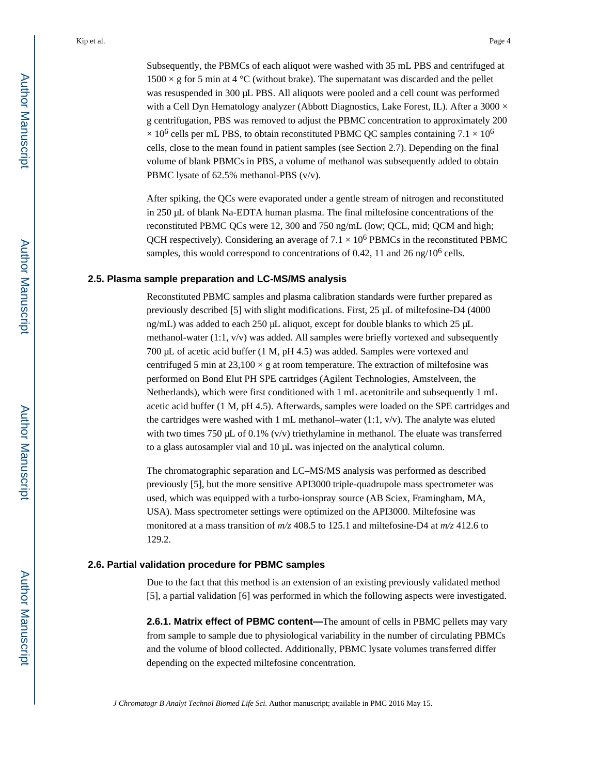Subsequently, the PBMCs of each aliquot were washed with 35 mL PBS and centrifuged at  $1500 \times g$  for 5 min at 4 °C (without brake). The supernatant was discarded and the pellet was resuspended in 300 μL PBS. All aliquots were pooled and a cell count was performed with a Cell Dyn Hematology analyzer (Abbott Diagnostics, Lake Forest, IL). After a  $3000 \times$ g centrifugation, PBS was removed to adjust the PBMC concentration to approximately 200  $\times$  10<sup>6</sup> cells per mL PBS, to obtain reconstituted PBMC QC samples containing 7.1  $\times$  10<sup>6</sup> cells, close to the mean found in patient samples (see Section 2.7). Depending on the final volume of blank PBMCs in PBS, a volume of methanol was subsequently added to obtain PBMC lysate of 62.5% methanol-PBS (v/v).

After spiking, the QCs were evaporated under a gentle stream of nitrogen and reconstituted in 250 μL of blank Na-EDTA human plasma. The final miltefosine concentrations of the reconstituted PBMC QCs were 12, 300 and 750 ng/mL (low; QCL, mid; QCM and high; QCH respectively). Considering an average of  $7.1 \times 10^6$  PBMCs in the reconstituted PBMC samples, this would correspond to concentrations of 0.42, 11 and 26 ng/ $10^6$  cells.

#### **2.5. Plasma sample preparation and LC-MS/MS analysis**

Reconstituted PBMC samples and plasma calibration standards were further prepared as previously described [5] with slight modifications. First, 25 μL of miltefosine-D4 (4000 ng/mL) was added to each 250 μL aliquot, except for double blanks to which 25 μL methanol-water  $(1:1, v/v)$  was added. All samples were briefly vortexed and subsequently 700 μL of acetic acid buffer (1 M, pH 4.5) was added. Samples were vortexed and centrifuged 5 min at  $23,100 \times g$  at room temperature. The extraction of miltefosine was performed on Bond Elut PH SPE cartridges (Agilent Technologies, Amstelveen, the Netherlands), which were first conditioned with 1 mL acetonitrile and subsequently 1 mL acetic acid buffer (1 M, pH 4.5). Afterwards, samples were loaded on the SPE cartridges and the cartridges were washed with 1 mL methanol–water (1:1, v/v). The analyte was eluted with two times 750 μL of 0.1% (v/v) triethylamine in methanol. The eluate was transferred to a glass autosampler vial and 10 μL was injected on the analytical column.

The chromatographic separation and LC–MS/MS analysis was performed as described previously [5], but the more sensitive API3000 triple-quadrupole mass spectrometer was used, which was equipped with a turbo-ionspray source (AB Sciex, Framingham, MA, USA). Mass spectrometer settings were optimized on the API3000. Miltefosine was monitored at a mass transition of *m/z* 408.5 to 125.1 and miltefosine-D4 at *m/z* 412.6 to 129.2.

# **2.6. Partial validation procedure for PBMC samples**

Due to the fact that this method is an extension of an existing previously validated method [5], a partial validation [6] was performed in which the following aspects were investigated.

**2.6.1. Matrix effect of PBMC content—**The amount of cells in PBMC pellets may vary from sample to sample due to physiological variability in the number of circulating PBMCs and the volume of blood collected. Additionally, PBMC lysate volumes transferred differ depending on the expected miltefosine concentration.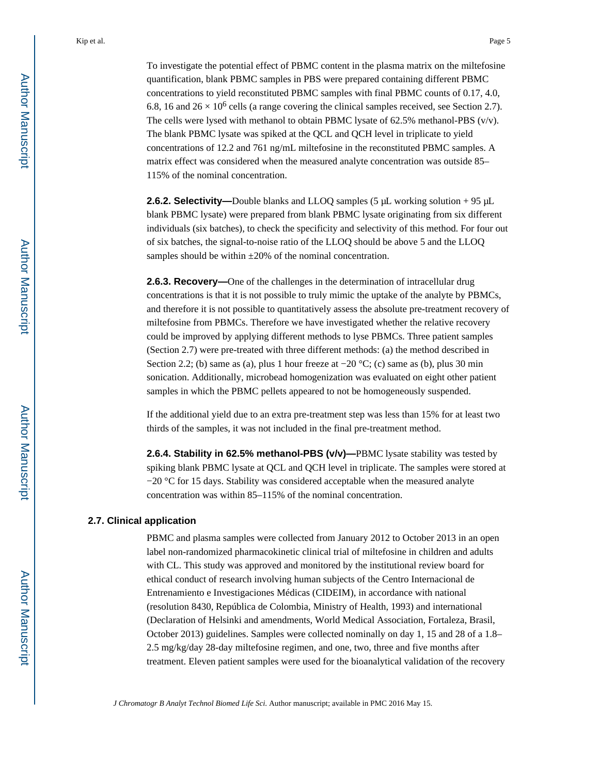To investigate the potential effect of PBMC content in the plasma matrix on the miltefosine quantification, blank PBMC samples in PBS were prepared containing different PBMC concentrations to yield reconstituted PBMC samples with final PBMC counts of 0.17, 4.0, 6.8, 16 and  $26 \times 10^6$  cells (a range covering the clinical samples received, see Section 2.7). The cells were lysed with methanol to obtain PBMC lysate of 62.5% methanol-PBS (v/v). The blank PBMC lysate was spiked at the QCL and QCH level in triplicate to yield concentrations of 12.2 and 761 ng/mL miltefosine in the reconstituted PBMC samples. A matrix effect was considered when the measured analyte concentration was outside 85– 115% of the nominal concentration.

**2.6.2. Selectivity—**Double blanks and LLOQ samples (5 μL working solution + 95 μL blank PBMC lysate) were prepared from blank PBMC lysate originating from six different individuals (six batches), to check the specificity and selectivity of this method. For four out of six batches, the signal-to-noise ratio of the LLOQ should be above 5 and the LLOQ samples should be within  $\pm 20\%$  of the nominal concentration.

**2.6.3. Recovery—One of the challenges in the determination of intracellular drug** concentrations is that it is not possible to truly mimic the uptake of the analyte by PBMCs, and therefore it is not possible to quantitatively assess the absolute pre-treatment recovery of miltefosine from PBMCs. Therefore we have investigated whether the relative recovery could be improved by applying different methods to lyse PBMCs. Three patient samples (Section 2.7) were pre-treated with three different methods: (a) the method described in Section 2.2; (b) same as (a), plus 1 hour freeze at  $-20$  °C; (c) same as (b), plus 30 min sonication. Additionally, microbead homogenization was evaluated on eight other patient samples in which the PBMC pellets appeared to not be homogeneously suspended.

If the additional yield due to an extra pre-treatment step was less than 15% for at least two thirds of the samples, it was not included in the final pre-treatment method.

**2.6.4. Stability in 62.5% methanol-PBS (v/v)—**PBMC lysate stability was tested by spiking blank PBMC lysate at QCL and QCH level in triplicate. The samples were stored at −20 °C for 15 days. Stability was considered acceptable when the measured analyte concentration was within 85–115% of the nominal concentration.

#### **2.7. Clinical application**

PBMC and plasma samples were collected from January 2012 to October 2013 in an open label non-randomized pharmacokinetic clinical trial of miltefosine in children and adults with CL. This study was approved and monitored by the institutional review board for ethical conduct of research involving human subjects of the Centro Internacional de Entrenamiento e Investigaciones Médicas (CIDEIM), in accordance with national (resolution 8430, República de Colombia, Ministry of Health, 1993) and international (Declaration of Helsinki and amendments, World Medical Association, Fortaleza, Brasil, October 2013) guidelines. Samples were collected nominally on day 1, 15 and 28 of a 1.8– 2.5 mg/kg/day 28-day miltefosine regimen, and one, two, three and five months after treatment. Eleven patient samples were used for the bioanalytical validation of the recovery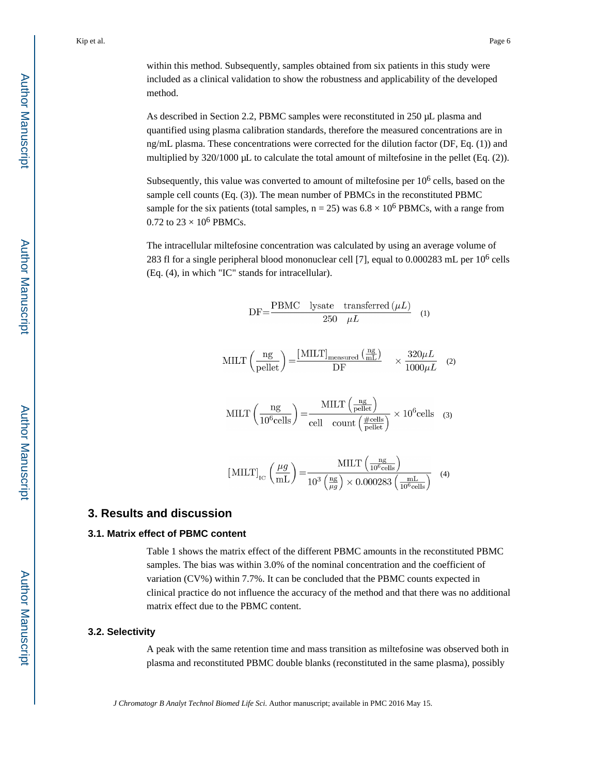within this method. Subsequently, samples obtained from six patients in this study were included as a clinical validation to show the robustness and applicability of the developed method.

As described in Section 2.2, PBMC samples were reconstituted in 250 μL plasma and quantified using plasma calibration standards, therefore the measured concentrations are in ng/mL plasma. These concentrations were corrected for the dilution factor (DF, Eq. (1)) and multiplied by 320/1000 μL to calculate the total amount of miltefosine in the pellet (Eq. (2)).

Subsequently, this value was converted to amount of miltefosine per 10<sup>6</sup> cells, based on the sample cell counts (Eq. (3)). The mean number of PBMCs in the reconstituted PBMC sample for the six patients (total samples,  $n = 25$ ) was  $6.8 \times 10^6$  PBMCs, with a range from 0.72 to  $23 \times 10^6$  PBMCs.

The intracellular miltefosine concentration was calculated by using an average volume of 283 fl for a single peripheral blood mononuclear cell [7], equal to  $0.000283$  mL per  $10^6$  cells (Eq. (4), in which "IC" stands for intracellular).

$$
DF = \frac{PBMC \quad lysate \quad transferred \ (\mu L)}{250 \quad \mu L} \tag{1}
$$

$$
MILT\left(\frac{ng}{pellet}\right) = \frac{[MILT]_{measured} \left(\frac{ng}{mL}\right)}{DF} \times \frac{320\mu L}{1000\mu L} \quad (2)
$$

$$
MILT\left(\frac{ng}{10^6 \text{cells}}\right) = \frac{MILT\left(\frac{ng}{\text{peller}}\right)}{\text{cell} \cdot \text{count}\left(\frac{\# \text{cells}}{\text{peller}}\right)} \times 10^6 \text{cells} \quad (3)
$$

$$
[MILT]_{\text{IC}} \left(\frac{\mu g}{\text{mL}}\right) = \frac{MILT \left(\frac{\text{ng}}{10^6 \text{ cells}}\right)}{10^3 \left(\frac{\text{ng}}{\mu g}\right) \times 0.000283 \left(\frac{\text{mL}}{10^6 \text{cells}}\right)} \quad (4)
$$

# **3. Results and discussion**

#### **3.1. Matrix effect of PBMC content**

Table 1 shows the matrix effect of the different PBMC amounts in the reconstituted PBMC samples. The bias was within 3.0% of the nominal concentration and the coefficient of variation (CV%) within 7.7%. It can be concluded that the PBMC counts expected in clinical practice do not influence the accuracy of the method and that there was no additional matrix effect due to the PBMC content.

## **3.2. Selectivity**

A peak with the same retention time and mass transition as miltefosine was observed both in plasma and reconstituted PBMC double blanks (reconstituted in the same plasma), possibly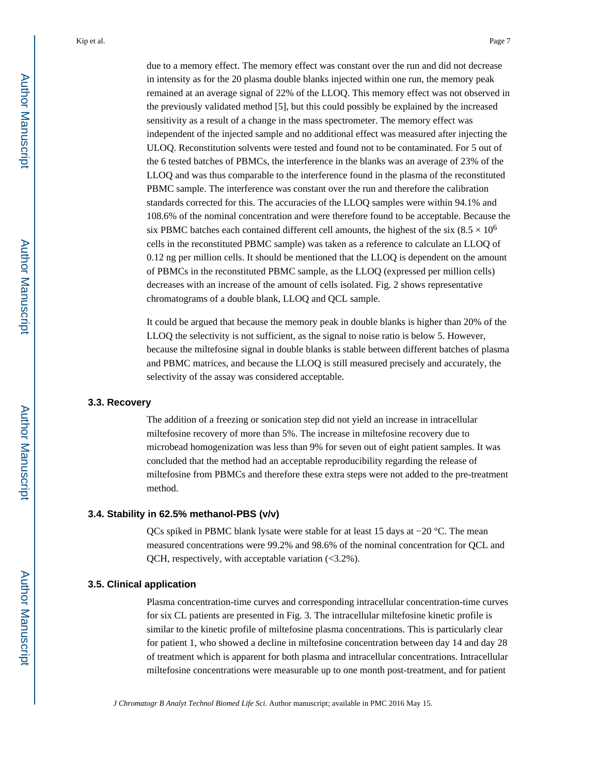due to a memory effect. The memory effect was constant over the run and did not decrease in intensity as for the 20 plasma double blanks injected within one run, the memory peak remained at an average signal of 22% of the LLOQ. This memory effect was not observed in the previously validated method [5], but this could possibly be explained by the increased sensitivity as a result of a change in the mass spectrometer. The memory effect was independent of the injected sample and no additional effect was measured after injecting the ULOQ. Reconstitution solvents were tested and found not to be contaminated. For 5 out of the 6 tested batches of PBMCs, the interference in the blanks was an average of 23% of the LLOQ and was thus comparable to the interference found in the plasma of the reconstituted PBMC sample. The interference was constant over the run and therefore the calibration standards corrected for this. The accuracies of the LLOQ samples were within 94.1% and 108.6% of the nominal concentration and were therefore found to be acceptable. Because the six PBMC batches each contained different cell amounts, the highest of the six (8.5  $\times$  10<sup>6</sup>) cells in the reconstituted PBMC sample) was taken as a reference to calculate an LLOQ of 0.12 ng per million cells. It should be mentioned that the LLOQ is dependent on the amount of PBMCs in the reconstituted PBMC sample, as the LLOQ (expressed per million cells) decreases with an increase of the amount of cells isolated. Fig. 2 shows representative chromatograms of a double blank, LLOQ and QCL sample.

It could be argued that because the memory peak in double blanks is higher than 20% of the LLOQ the selectivity is not sufficient, as the signal to noise ratio is below 5. However, because the miltefosine signal in double blanks is stable between different batches of plasma and PBMC matrices, and because the LLOQ is still measured precisely and accurately, the selectivity of the assay was considered acceptable.

#### **3.3. Recovery**

The addition of a freezing or sonication step did not yield an increase in intracellular miltefosine recovery of more than 5%. The increase in miltefosine recovery due to microbead homogenization was less than 9% for seven out of eight patient samples. It was concluded that the method had an acceptable reproducibility regarding the release of miltefosine from PBMCs and therefore these extra steps were not added to the pre-treatment method.

#### **3.4. Stability in 62.5% methanol-PBS (v/v)**

QCs spiked in PBMC blank lysate were stable for at least 15 days at −20 °C. The mean measured concentrations were 99.2% and 98.6% of the nominal concentration for QCL and QCH, respectively, with acceptable variation (<3.2%).

#### **3.5. Clinical application**

Plasma concentration-time curves and corresponding intracellular concentration-time curves for six CL patients are presented in Fig. 3. The intracellular miltefosine kinetic profile is similar to the kinetic profile of miltefosine plasma concentrations. This is particularly clear for patient 1, who showed a decline in miltefosine concentration between day 14 and day 28 of treatment which is apparent for both plasma and intracellular concentrations. Intracellular miltefosine concentrations were measurable up to one month post-treatment, and for patient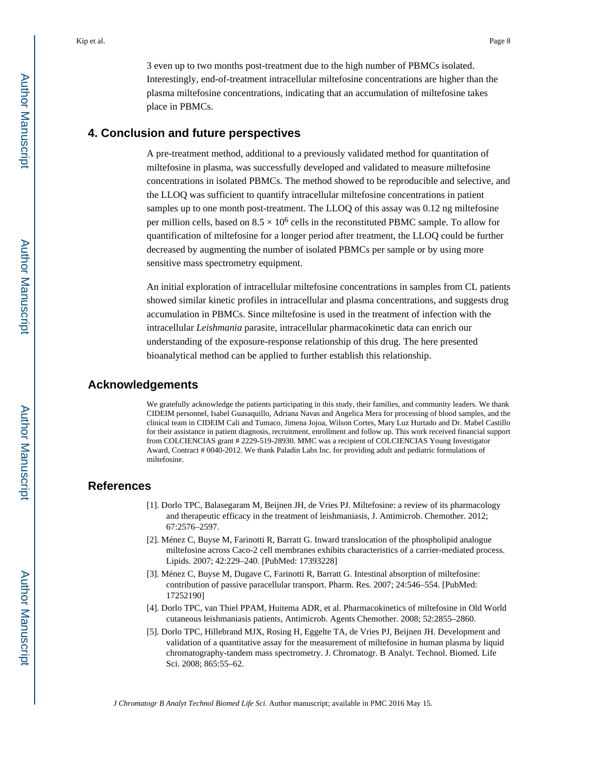3 even up to two months post-treatment due to the high number of PBMCs isolated. Interestingly, end-of-treatment intracellular miltefosine concentrations are higher than the plasma miltefosine concentrations, indicating that an accumulation of miltefosine takes place in PBMCs.

# **4. Conclusion and future perspectives**

A pre-treatment method, additional to a previously validated method for quantitation of miltefosine in plasma, was successfully developed and validated to measure miltefosine concentrations in isolated PBMCs. The method showed to be reproducible and selective, and the LLOQ was sufficient to quantify intracellular miltefosine concentrations in patient samples up to one month post-treatment. The LLOQ of this assay was 0.12 ng miltefosine per million cells, based on  $8.5 \times 10^6$  cells in the reconstituted PBMC sample. To allow for quantification of miltefosine for a longer period after treatment, the LLOQ could be further decreased by augmenting the number of isolated PBMCs per sample or by using more sensitive mass spectrometry equipment.

An initial exploration of intracellular miltefosine concentrations in samples from CL patients showed similar kinetic profiles in intracellular and plasma concentrations, and suggests drug accumulation in PBMCs. Since miltefosine is used in the treatment of infection with the intracellular *Leishmania* parasite, intracellular pharmacokinetic data can enrich our understanding of the exposure-response relationship of this drug. The here presented bioanalytical method can be applied to further establish this relationship.

## **Acknowledgements**

We gratefully acknowledge the patients participating in this study, their families, and community leaders. We thank CIDEIM personnel, Isabel Guasaquillo, Adriana Navas and Angelica Mera for processing of blood samples, and the clinical team in CIDEIM Cali and Tumaco, Jimena Jojoa, Wilson Cortes, Mary Luz Hurtado and Dr. Mabel Castillo for their assistance in patient diagnosis, recruitment, enrollment and follow up. This work received financial support from COLCIENCIAS grant # 2229-519-28930. MMC was a recipient of COLCIENCIAS Young Investigator Award, Contract # 0040-2012. We thank Paladin Labs Inc. for providing adult and pediatric formulations of miltefosine.

# **References**

- [1]. Dorlo TPC, Balasegaram M, Beijnen JH, de Vries PJ. Miltefosine: a review of its pharmacology and therapeutic efficacy in the treatment of leishmaniasis, J. Antimicrob. Chemother. 2012; 67:2576–2597.
- [2]. Ménez C, Buyse M, Farinotti R, Barratt G. Inward translocation of the phospholipid analogue miltefosine across Caco-2 cell membranes exhibits characteristics of a carrier-mediated process. Lipids. 2007; 42:229–240. [PubMed: 17393228]
- [3]. Ménez C, Buyse M, Dugave C, Farinotti R, Barratt G. Intestinal absorption of miltefosine: contribution of passive paracellular transport. Pharm. Res. 2007; 24:546–554. [PubMed: 17252190]
- [4]. Dorlo TPC, van Thiel PPAM, Huitema ADR, et al. Pharmacokinetics of miltefosine in Old World cutaneous leishmaniasis patients, Antimicrob. Agents Chemother. 2008; 52:2855–2860.
- [5]. Dorlo TPC, Hillebrand MJX, Rosing H, Eggelte TA, de Vries PJ, Beijnen JH. Development and validation of a quantitative assay for the measurement of miltefosine in human plasma by liquid chromatography-tandem mass spectrometry. J. Chromatogr. B Analyt. Technol. Biomed. Life Sci. 2008; 865:55–62.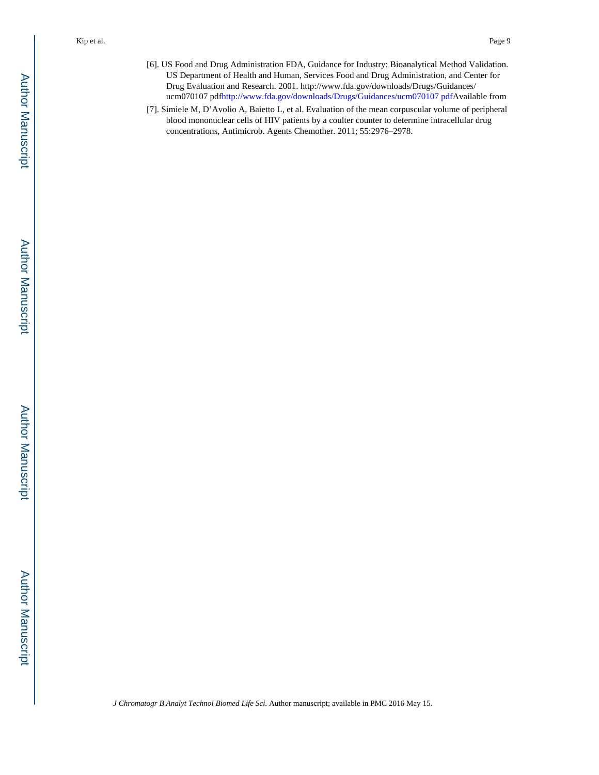- [6]. US Food and Drug Administration FDA, Guidance for Industry: Bioanalytical Method Validation. US Department of Health and Human, Services Food and Drug Administration, and Center for Drug Evaluation and Research. 2001. http://www.fda.gov/downloads/Drugs/Guidances/ ucm070107 pdf[http://www.fda.gov/downloads/Drugs/Guidances/ucm070107 pdfA](http://www.fda.gov/downloads/Drugs/Guidances/ucm070107pdf)vailable from
- [7]. Simiele M, D'Avolio A, Baietto L, et al. Evaluation of the mean corpuscular volume of peripheral blood mononuclear cells of HIV patients by a coulter counter to determine intracellular drug concentrations, Antimicrob. Agents Chemother. 2011; 55:2976–2978.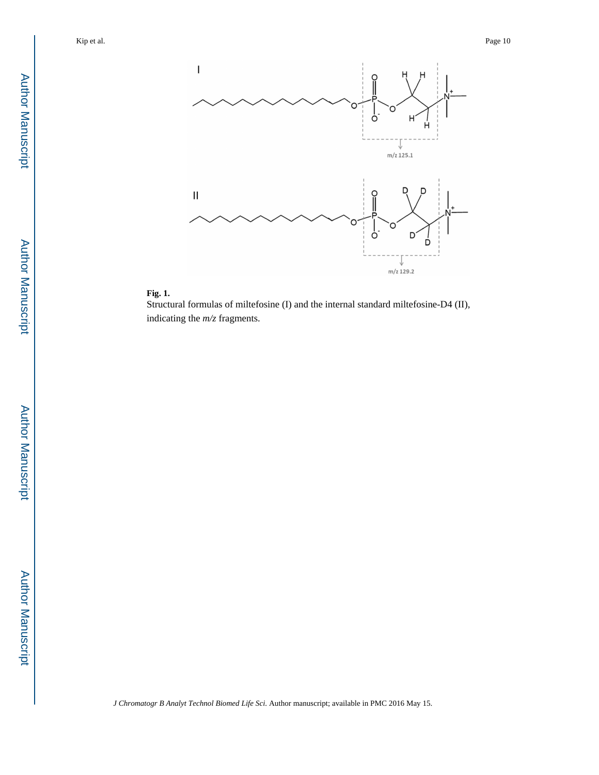



Structural formulas of miltefosine (I) and the internal standard miltefosine-D4 (II), indicating the *m/z* fragments.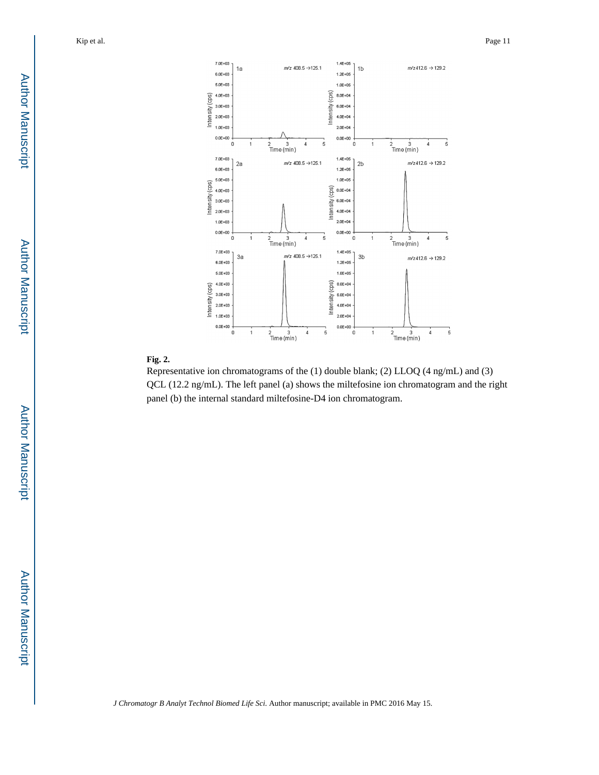

### **Fig. 2.**

Representative ion chromatograms of the (1) double blank; (2) LLOQ (4 ng/mL) and (3) QCL (12.2 ng/mL). The left panel (a) shows the miltefosine ion chromatogram and the right panel (b) the internal standard miltefosine-D4 ion chromatogram.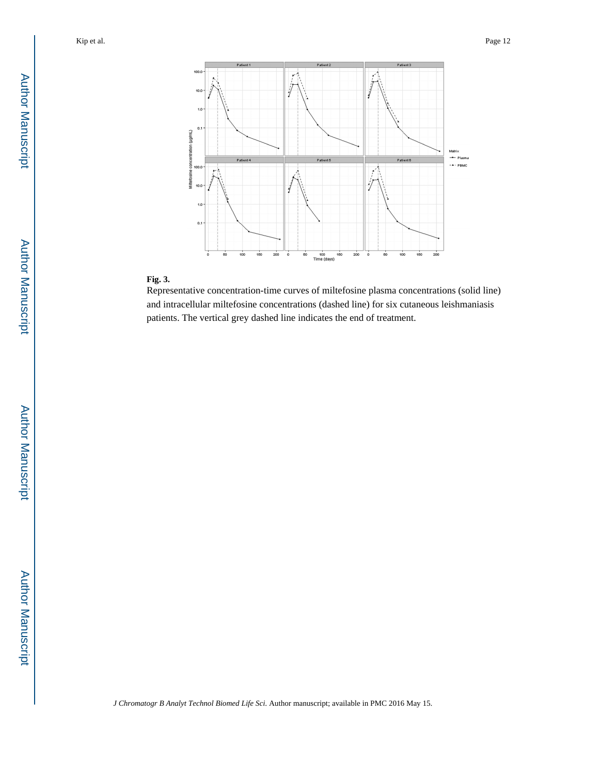

# **Fig. 3.**

Representative concentration-time curves of miltefosine plasma concentrations (solid line) and intracellular miltefosine concentrations (dashed line) for six cutaneous leishmaniasis patients. The vertical grey dashed line indicates the end of treatment.